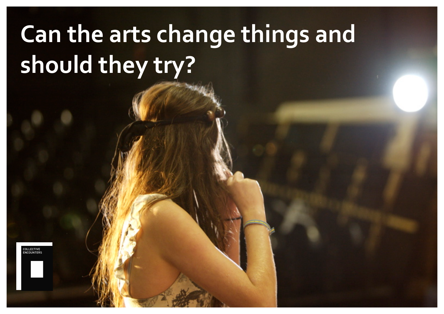# **Can the arts change things and** should they try?

COLLECTIVE<br>ENCOUNTERS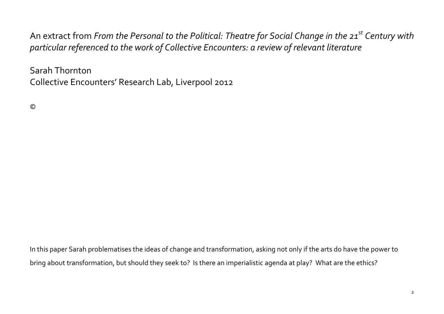An extract from *From the Personal to the Political: Theatre for Social Change in the 21<sup>st</sup> Century with* particular referenced to the work of Collective Encounters: a review of relevant literature

Sarah Thornton Collective Encounters' Research Lab, Liverpool 2012

©

In this paper Sarah problematises the ideas of change and transformation, asking not only if the arts do have the power to bring about transformation, but should they seek to? Is there an imperialistic agenda at play? What are the ethics?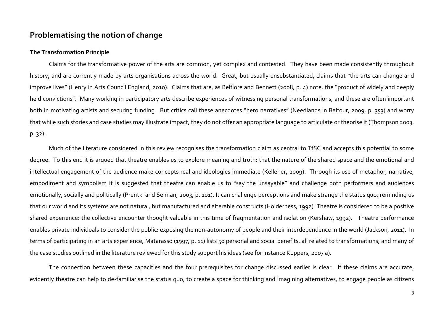## **Problematising the notion of change**

#### **The Transformation Principle**

Claims for the transformative power of the arts are common, yet complex and contested. They have been made consistently throughout history, and are currently made by arts organisations across the world. Great, but usually unsubstantiated, claims that "the arts can change and improve lives" (Henry in Arts Council England, 2010). Claims that are, as Belfiore and Bennett (2008, p. 4) note, the "product of widely and deeply held convictions". Many working in participatory arts describe experiences of witnessing personal transformations, and these are often important both in motivating artists and securing funding. But critics call these anecdotes "hero narratives" (Needlands in Balfour, 2009, p. 353) and worry that while such stories and case studies may illustrate impact, they do not offer an appropriate language to articulate or theorise it (Thompson 2003,  $p. 32$ ).

Much of the literature considered in this review recognises the transformation claim as central to TfSC and accepts this potential to some degree. To this end it is argued that theatre enables us to explore meaning and truth: that the nature of the shared space and the emotional and intellectual engagement of the audience make concepts real and ideologies immediate (Kelleher, 2009). Through its use of metaphor, narrative, embodiment and symbolism it is suggested that theatre can enable us to "say the unsayable" and challenge both performers and audiences emotionally, socially and politically (Prentki and Selman, 2003, p. 101). It can challenge perceptions and make strange the status quo, reminding us that our world and its systems are not natural, but manufactured and alterable constructs (Holderness, 1992). Theatre is considered to be a positive shared experience: the collective encounter thought valuable in this time of fragmentation and isolation (Kershaw, 1992). Theatre performance enables private individuals to consider the public: exposing the non-autonomy of people and their interdependence in the world (Jackson, 2011). In terms of participating in an arts experience, Matarasso (1997, p. 11) lists 50 personal and social benefits, all related to transformations; and many of the case studies outlined in the literature reviewed for this study support his ideas (see for instance Kuppers, 2007 a).

The connection between these capacities and the four prerequisites for change discussed earlier is clear. If these claims are accurate, evidently theatre can help to de-familiarise the status quo, to create a space for thinking and imagining alternatives, to engage people as citizens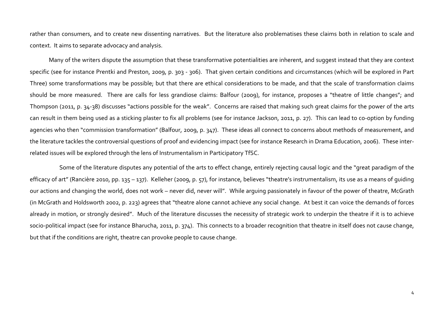rather than consumers, and to create new dissenting narratives. But the literature also problematises these claims both in relation to scale and context. It aims to separate advocacy and analysis.

Many of the writers dispute the assumption that these transformative potentialities are inherent, and suggest instead that they are context specific (see for instance Prentki and Preston, 2009, p. 303 - 306). That given certain conditions and circumstances (which will be explored in Part Three) some transformations may be possible; but that there are ethical considerations to be made, and that the scale of transformation claims should be more measured. There are calls for less grandiose claims: Balfour (2009), for instance, proposes a "theatre of little changes"; and Thompson (2011, p. 34-38) discusses "actions possible for the weak". Concerns are raised that making such great claims for the power of the arts can result in them being used as a sticking plaster to fix all problems (see for instance Jackson, 2011, p. 27). This can lead to co-option by funding agencies who then "commission transformation" (Balfour, 2009, p. 347). These ideas all connect to concerns about methods of measurement, and the literature tackles the controversial questions of proof and evidencing impact (see for instance Research in Drama Education, 2006). These interrelated issues will be explored through the lens of Instrumentalism in Participatory TfSC.

Some of the literature disputes any potential of the arts to effect change, entirely rejecting causal logic and the "great paradigm of the efficacy of art" (Rancière 2010, pp. 135 – 137). Kelleher (2009, p. 57), for instance, believes "theatre's instrumentalism, its use as a means of quiding our actions and changing the world, does not work – never did, never will". While arguing passionately in favour of the power of theatre, McGrath (in McGrath and Holdsworth 2002, p. 223) agrees that "theatre alone cannot achieve any social change. At best it can voice the demands of forces already in motion, or strongly desired". Much of the literature discusses the necessity of strategic work to underpin the theatre if it is to achieve socio-political impact (see for instance Bharucha, 2011, p. 374). This connects to a broader recognition that theatre in itself does not cause change, but that if the conditions are right, theatre can provoke people to cause change.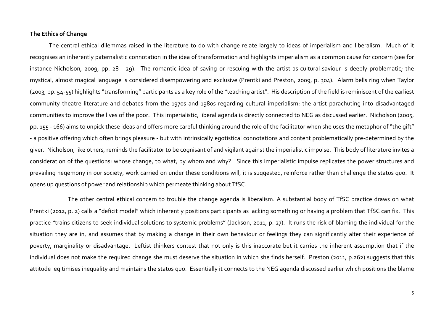#### **The!Ethics!of!Change**

The central ethical dilemmas raised in the literature to do with change relate largely to ideas of imperialism and liberalism. Much of it recognises an inherently paternalistic connotation in the idea of transformation and highlights imperialism as a common cause for concern (see for instance Nicholson, 2009, pp. 28 - 29). The romantic idea of saving or rescuing with the artist-as-cultural-saviour is deeply problematic; the mystical, almost magical language is considered disempowering and exclusive (Prentki and Preston, 2009, p. 304). Alarm bells ring when Taylor (2003, pp. 54-55) highlights "transforming" participants as a key role of the "teaching artist". His description of the field is reminiscent of the earliest community theatre literature and debates from the 1970s and 1980s regarding cultural imperialism: the artist parachuting into disadvantaged communities to improve the lives of the poor. This imperialistic, liberal agenda is directly connected to NEG as discussed earlier. Nicholson (2005, pp. 155 - 166) aims to unpick these ideas and offers more careful thinking around the role of the facilitator when she uses the metaphor of "the gift" - a positive offering which often brings pleasure - but with intrinsically egotistical connotations and content problematically pre-determined by the giver. Nicholson, like others, reminds the facilitator to be cognisant of and vigilant against the imperialistic impulse. This body of literature invites a consideration of the questions: whose change, to what, by whom and why? Since this imperialistic impulse replicates the power structures and prevailing hegemony in our society, work carried on under these conditions will, it is suggested, reinforce rather than challenge the status quo. It opens up questions of power and relationship which permeate thinking about TfSC.

The other central ethical concern to trouble the change agenda is liberalism. A substantial body of TfSC practice draws on what Prentki (2012, p. 2) calls a "deficit model" which inherently positions participants as lacking something or having a problem that TfSC can fix. This practice "trains citizens to seek individual solutions to systemic problems" (Jackson, 2011, p. 27). It runs the risk of blaming the individual for the situation they are in, and assumes that by making a change in their own behaviour or feelings they can significantly alter their experience of poverty, marginality or disadvantage. Leftist thinkers contest that not only is this inaccurate but it carries the inherent assumption that if the individual does not make the required change she must deserve the situation in which she finds herself. Preston (2011, p.262) suggests that this attitude legitimises inequality and maintains the status quo. Essentially it connects to the NEG agenda discussed earlier which positions the blame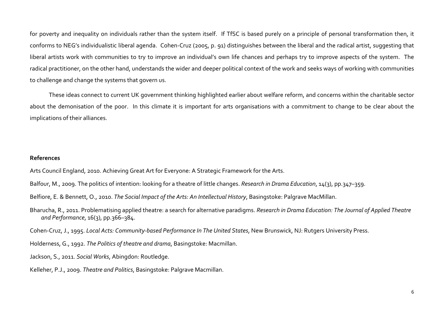for poverty and inequality on individuals rather than the system itself. If TfSC is based purely on a principle of personal transformation then, it conforms to NEG's individualistic liberal agenda. Cohen-Cruz (2005, p. 91) distinguishes between the liberal and the radical artist, suggesting that liberal artists work with communities to try to improve an individual's own life chances and perhaps try to improve aspects of the system. The radical practitioner, on the other hand, understands the wider and deeper political context of the work and seeks ways of working with communities to challenge and change the systems that govern us.

These ideas connect to current UK government thinking highlighted earlier about welfare reform, and concerns within the charitable sector about the demonisation of the poor. In this climate it is important for arts organisations with a commitment to change to be clear about the implications of their alliances.

### **References**

Arts Council England, 2010. Achieving Great Art for Everyone: A Strategic Framework for the Arts.

- Balfour, M., 2009. The politics of intention: looking for a theatre of little changes. *Research in Drama Education*, 14(3), pp.347–359.
- Belfiore, E. & Bennett, O., 2010. *The Social Impact of the Arts: An Intellectual History*, Basingstoke: Palgrave MacMillan.
- Bharucha, R., 2011. Problematising applied theatre: a search for alternative paradigms. *Research in Drama Education: The Journal of Applied Theatre and%Performance*,%16(3),%pp.366–384.

Cohen-Cruz, J., 1995. *Local Acts: Community-based Performance In The United States*, New Brunswick, NJ: Rutgers University Press.

Holderness, G., 1992. *The Politics of theatre and drama*, Basingstoke: Macmillan.

- Jackson, S., 2011. Social Works, Abingdon: Routledge.
- Kelleher, P.J., 2009. Theatre and Politics, Basingstoke: Palgrave Macmillan.